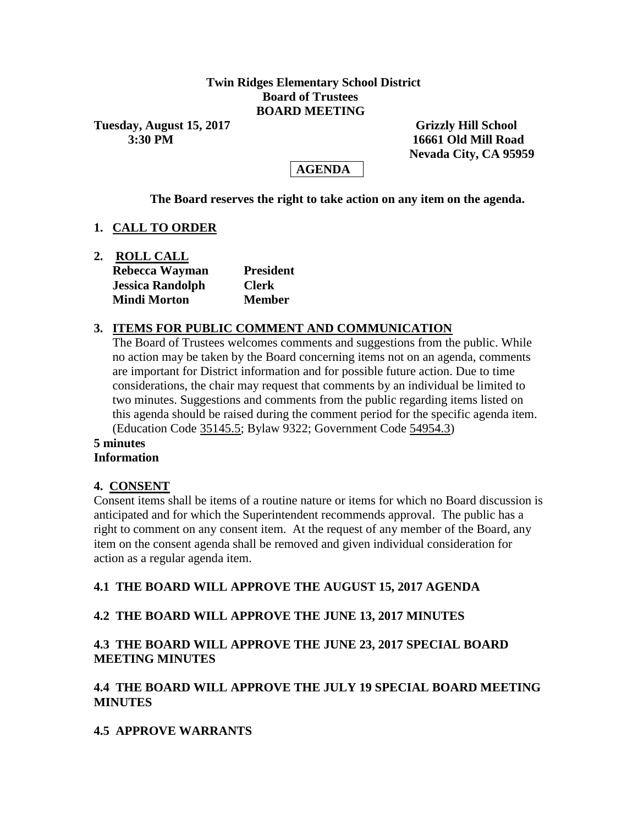### **Twin Ridges Elementary School District Board of Trustees BOARD MEETING**

**Tuesday, August 15, 2017** Grizzly Hill School **Grizzly Hill School** 

 **3:30 PM 16661 Old Mill Road Nevada City, CA 95959**

# **AGENDA**

**The Board reserves the right to take action on any item on the agenda.**

# **1. CALL TO ORDER**

| 2. | <b>ROLL CALL</b>        |                  |
|----|-------------------------|------------------|
|    | Rebecca Wayman          | <b>President</b> |
|    | <b>Jessica Randolph</b> | <b>Clerk</b>     |
|    | <b>Mindi Morton</b>     | <b>Member</b>    |

### **3. ITEMS FOR PUBLIC COMMENT AND COMMUNICATION**

The Board of Trustees welcomes comments and suggestions from the public. While no action may be taken by the Board concerning items not on an agenda, comments are important for District information and for possible future action. Due to time considerations, the chair may request that comments by an individual be limited to two minutes. Suggestions and comments from the public regarding items listed on this agenda should be raised during the comment period for the specific agenda item. (Education Code 35145.5; Bylaw 9322; Government Code 54954.3)

#### **5 minutes Information**

# **4. CONSENT**

Consent items shall be items of a routine nature or items for which no Board discussion is anticipated and for which the Superintendent recommends approval. The public has a right to comment on any consent item. At the request of any member of the Board, any item on the consent agenda shall be removed and given individual consideration for action as a regular agenda item.

# **4.1 THE BOARD WILL APPROVE THE AUGUST 15, 2017 AGENDA**

# **4.2 THE BOARD WILL APPROVE THE JUNE 13, 2017 MINUTES**

# **4.3 THE BOARD WILL APPROVE THE JUNE 23, 2017 SPECIAL BOARD MEETING MINUTES**

# **4.4 THE BOARD WILL APPROVE THE JULY 19 SPECIAL BOARD MEETING MINUTES**

# **4.5 APPROVE WARRANTS**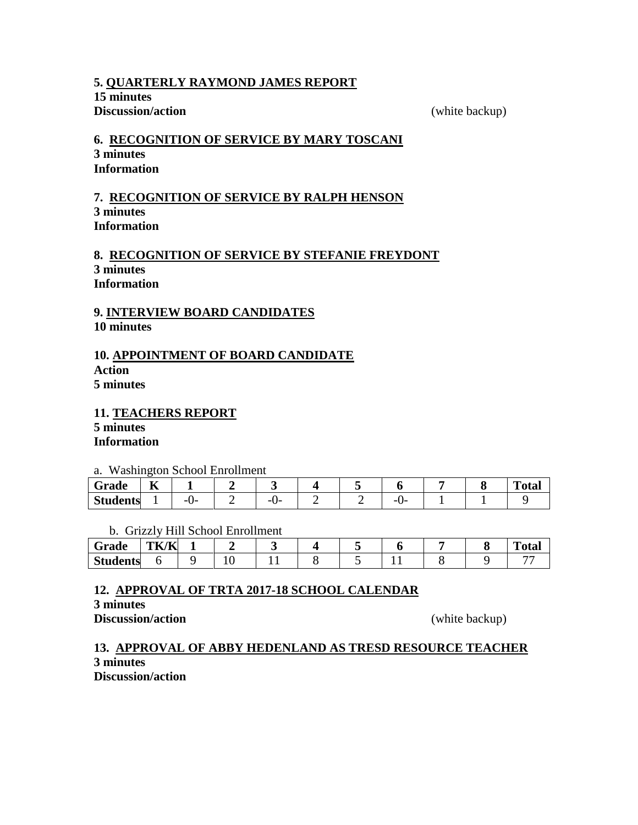#### **5. QUARTERLY RAYMOND JAMES REPORT 15 minutes Discussion/action** (white backup)

# **6. RECOGNITION OF SERVICE BY MARY TOSCANI 3 minutes Information**

#### **7. RECOGNITION OF SERVICE BY RALPH HENSON 3 minutes Information**

### **8. RECOGNITION OF SERVICE BY STEFANIE FREYDONT 3 minutes Information**

# **9. INTERVIEW BOARD CANDIDATES 10 minutes**

### **10. APPOINTMENT OF BOARD CANDIDATE Action 5 minutes**

**11. TEACHERS REPORT 5 minutes Information**

#### a. Washington School Enrollment

| Grade           | $- -$<br>n |         |               |  |    |  | m<br>nta.<br>vtai |
|-----------------|------------|---------|---------------|--|----|--|-------------------|
| <b>Students</b> |            | --<br>ີ | --<br>--<br>∼ |  | -- |  |                   |

### b. Grizzly Hill School Enrollment

| Grade           | TK/K |        |  |  |  | $T_{\alpha\beta\alpha}$<br>1 otal |
|-----------------|------|--------|--|--|--|-----------------------------------|
| <b>Students</b> |      | $\sim$ |  |  |  |                                   |

# **12. APPROVAL OF TRTA 2017-18 SCHOOL CALENDAR**

**3 minutes**

**Discussion/action** (white backup)

### **13. APPROVAL OF ABBY HEDENLAND AS TRESD RESOURCE TEACHER 3 minutes Discussion/action**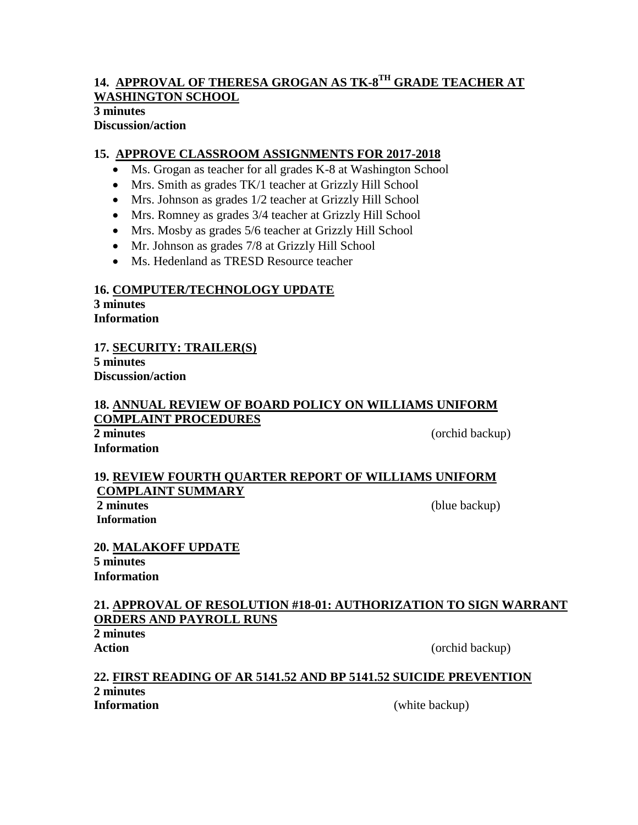### **14. APPROVAL OF THERESA GROGAN AS TK-8 TH GRADE TEACHER AT WASHINGTON SCHOOL 3 minutes**

# **Discussion/action**

# **15. APPROVE CLASSROOM ASSIGNMENTS FOR 2017-2018**

- Ms. Grogan as teacher for all grades K-8 at Washington School
- Mrs. Smith as grades TK/1 teacher at Grizzly Hill School
- Mrs. Johnson as grades 1/2 teacher at Grizzly Hill School
- Mrs. Romney as grades 3/4 teacher at Grizzly Hill School
- Mrs. Mosby as grades 5/6 teacher at Grizzly Hill School
- Mr. Johnson as grades 7/8 at Grizzly Hill School
- Ms. Hedenland as TRESD Resource teacher

# **16. COMPUTER/TECHNOLOGY UPDATE**

**3 minutes Information**

**17. SECURITY: TRAILER(S) 5 minutes Discussion/action**

# **18. ANNUAL REVIEW OF BOARD POLICY ON WILLIAMS UNIFORM COMPLAINT PROCEDURES**

**Information**

**2 minutes** (orchid backup)

### **19. REVIEW FOURTH QUARTER REPORT OF WILLIAMS UNIFORM COMPLAINT SUMMARY**

**2 minutes** (blue backup) **Information**

**20. MALAKOFF UPDATE 5 minutes Information**

# **21. APPROVAL OF RESOLUTION #18-01: AUTHORIZATION TO SIGN WARRANT ORDERS AND PAYROLL RUNS**

**2 minutes**

Action (orchid backup)

### **22. FIRST READING OF AR 5141.52 AND BP 5141.52 SUICIDE PREVENTION 2 minutes Information** (white backup)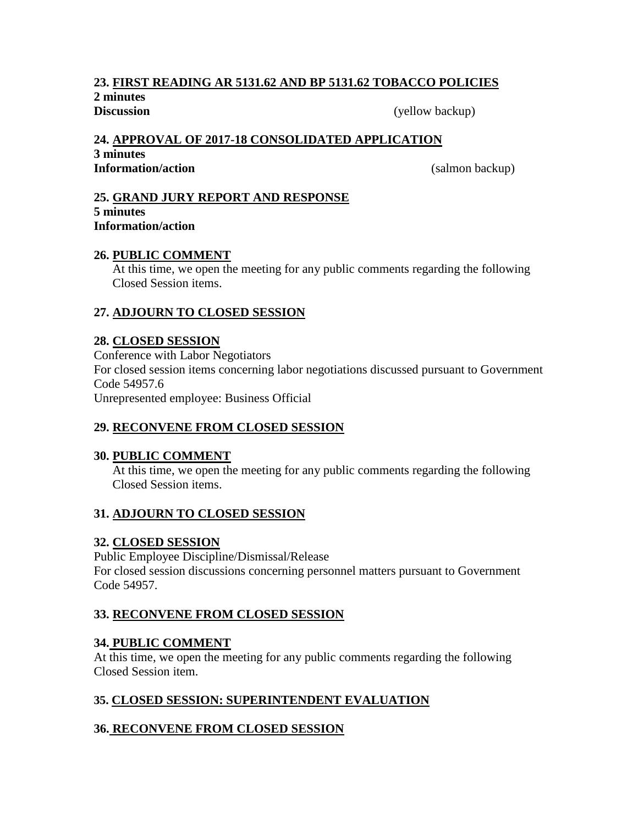# **23. FIRST READING AR 5131.62 AND BP 5131.62 TOBACCO POLICIES**

**2 minutes**

**Discussion** (yellow backup)

# **24. APPROVAL OF 2017-18 CONSOLIDATED APPLICATION**

**3 minutes Information/action** (salmon backup)

#### **25. GRAND JURY REPORT AND RESPONSE 5 minutes Information/action**

### **26. PUBLIC COMMENT**

At this time, we open the meeting for any public comments regarding the following Closed Session items.

# **27. ADJOURN TO CLOSED SESSION**

# **28. CLOSED SESSION**

Conference with Labor Negotiators For closed session items concerning labor negotiations discussed pursuant to Government Code 54957.6 Unrepresented employee: Business Official

# **29. RECONVENE FROM CLOSED SESSION**

# **30. PUBLIC COMMENT**

At this time, we open the meeting for any public comments regarding the following Closed Session items.

# **31. ADJOURN TO CLOSED SESSION**

# **32. CLOSED SESSION**

Public Employee Discipline/Dismissal/Release For closed session discussions concerning personnel matters pursuant to Government Code 54957.

# **33. RECONVENE FROM CLOSED SESSION**

# **34. PUBLIC COMMENT**

At this time, we open the meeting for any public comments regarding the following Closed Session item.

# **35. CLOSED SESSION: SUPERINTENDENT EVALUATION**

# **36. RECONVENE FROM CLOSED SESSION**